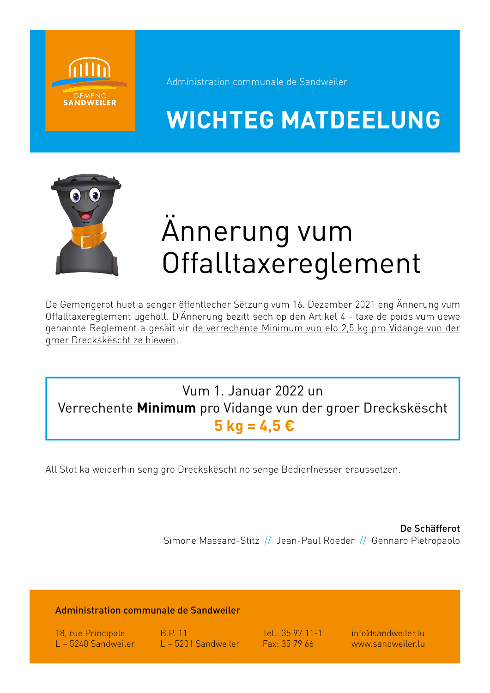

Administration communale de Sandweiler

## **WICHTEG MATDEELUNG**



# Ännerung vum Offalltaxereglement

De Gemengerot huet a senger ëffentlecher Sëtzung vum 16. Dezember 2021 eng Ännerung vum Offalltaxereglement ugeholl. D'Ännerung bezitt sech op den Artikel 4 - taxe de poids vum uewe genannte Reglement a gesäit vir de verrechente Minimum vun elo 2,5 kg pro Vidange vun der groer Dreckskëscht ze hiewen.

### Vum 1. Januar 2022 un Verrechente **Minimum** pro Vidange vun der groer Dreckskëscht  **5 kg = 4,5 €**

All Stot ka weiderhin seng gro Dreckskëscht no senge Bedierfnësser eraussetzen.

De Schäfferot Simone Massard-Stitz // Jean-Paul Roeder // Gennaro Pietropaolo

#### Administration communale de Sandweiler

18, rue Principale B.P. 11 Tel.: 35 97 11-1 info@sandweiler.lu L – 5240 Sandweiler L – 5201 Sandweiler Fax: 35 79 66 www.sandweiler.lu